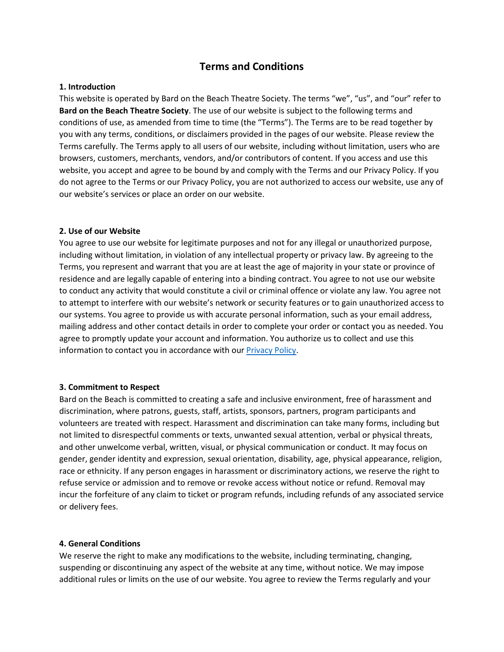# **Terms and Conditions**

# **1. Introduction**

This website is operated by Bard on the Beach Theatre Society. The terms "we", "us", and "our" refer to **Bard on the Beach Theatre Society**. The use of our website is subject to the following terms and conditions of use, as amended from time to time (the "Terms"). The Terms are to be read together by you with any terms, conditions, or disclaimers provided in the pages of our website. Please review the Terms carefully. The Terms apply to all users of our website, including without limitation, users who are browsers, customers, merchants, vendors, and/or contributors of content. If you access and use this website, you accept and agree to be bound by and comply with the Terms and our Privacy Policy. If you do not agree to the Terms or our Privacy Policy, you are not authorized to access our website, use any of our website's services or place an order on our website.

### **2. Use of our Website**

You agree to use our website for legitimate purposes and not for any illegal or unauthorized purpose, including without limitation, in violation of any intellectual property or privacy law. By agreeing to the Terms, you represent and warrant that you are at least the age of majority in your state or province of residence and are legally capable of entering into a binding contract. You agree to not use our website to conduct any activity that would constitute a civil or criminal offence or violate any law. You agree not to attempt to interfere with our website's network or security features or to gain unauthorized access to our systems. You agree to provide us with accurate personal information, such as your email address, mailing address and other contact details in order to complete your order or contact you as needed. You agree to promptly update your account and information. You authorize us to collect and use this information to contact you in accordance with our [Privacy Policy.](https://bardonthebeach.org/privacy-policy/)

# **3. Commitment to Respect**

Bard on the Beach is committed to creating a safe and inclusive environment, free of harassment and discrimination, where patrons, guests, staff, artists, sponsors, partners, program participants and volunteers are treated with respect. Harassment and discrimination can take many forms, including but not limited to disrespectful comments or texts, unwanted sexual attention, verbal or physical threats, and other unwelcome verbal, written, visual, or physical communication or conduct. It may focus on gender, gender identity and expression, sexual orientation, disability, age, physical appearance, religion, race or ethnicity. If any person engages in harassment or discriminatory actions, we reserve the right to refuse service or admission and to remove or revoke access without notice or refund. Removal may incur the forfeiture of any claim to ticket or program refunds, including refunds of any associated service or delivery fees.

### **4. General Conditions**

We reserve the right to make any modifications to the website, including terminating, changing, suspending or discontinuing any aspect of the website at any time, without notice. We may impose additional rules or limits on the use of our website. You agree to review the Terms regularly and your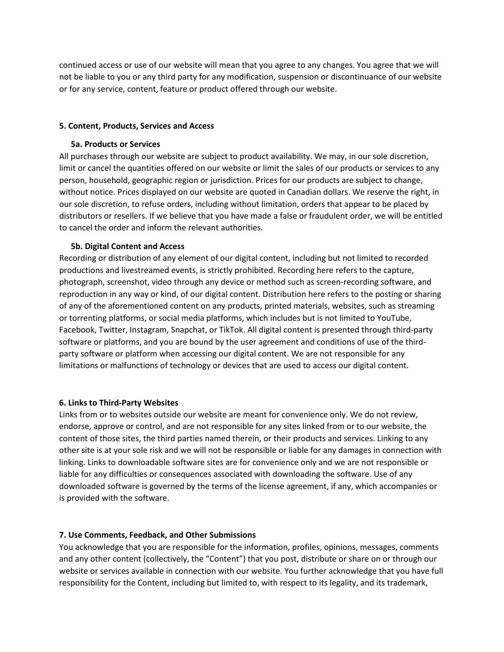continued access or use of our website will mean that you agree to any changes. You agree that we will not be liable to you or any third party for any modification, suspension or discontinuance of our website or for any service, content, feature or product offered through our website.

### **5. Content, Products, Services and Access**

# **5a. Products or Services**

All purchases through our website are subject to product availability. We may, in our sole discretion, limit or cancel the quantities offered on our website or limit the sales of our products or services to any person, household, geographic region or jurisdiction. Prices for our products are subject to change, without notice. Prices displayed on our website are quoted in Canadian dollars. We reserve the right, in our sole discretion, to refuse orders, including without limitation, orders that appear to be placed by distributors or resellers. If we believe that you have made a false or fraudulent order, we will be entitled to cancel the order and inform the relevant authorities.

# **5b. Digital Content and Access**

Recording or distribution of any element of our digital content, including but not limited to recorded productions and livestreamed events, is strictly prohibited. Recording here refers to the capture, photograph, screenshot, video through any device or method such as screen-recording software, and reproduction in any way or kind, of our digital content. Distribution here refers to the posting or sharing of any of the aforementioned content on any products, printed materials, websites, such as streaming or torrenting platforms, or social media platforms, which includes but is not limited to YouTube, Facebook, Twitter, Instagram, Snapchat, or TikTok. All digital content is presented through third-party software or platforms, and you are bound by the user agreement and conditions of use of the thirdparty software or platform when accessing our digital content. We are not responsible for any limitations or malfunctions of technology or devices that are used to access our digital content.

### **6. Links to Third-Party Websites**

Links from or to websites outside our website are meant for convenience only. We do not review, endorse, approve or control, and are not responsible for any sites linked from or to our website, the content of those sites, the third parties named therein, or their products and services. Linking to any other site is at your sole risk and we will not be responsible or liable for any damages in connection with linking. Links to downloadable software sites are for convenience only and we are not responsible or liable for any difficulties or consequences associated with downloading the software. Use of any downloaded software is governed by the terms of the license agreement, if any, which accompanies or is provided with the software.

# **7. Use Comments, Feedback, and Other Submissions**

You acknowledge that you are responsible for the information, profiles, opinions, messages, comments and any other content (collectively, the "Content") that you post, distribute or share on or through our website or services available in connection with our website. You further acknowledge that you have full responsibility for the Content, including but limited to, with respect to its legality, and its trademark,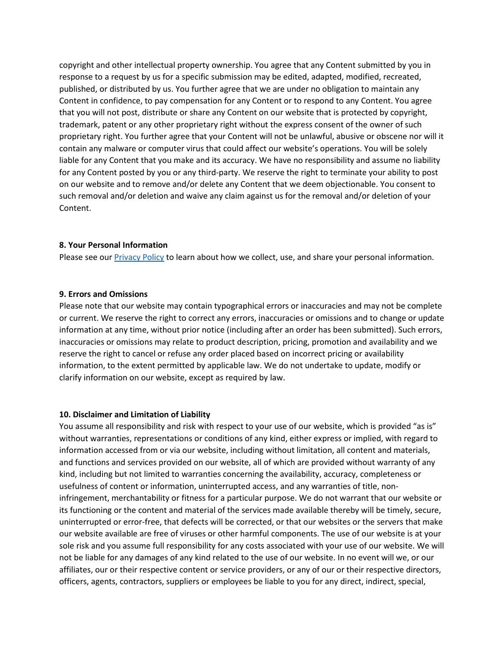copyright and other intellectual property ownership. You agree that any Content submitted by you in response to a request by us for a specific submission may be edited, adapted, modified, recreated, published, or distributed by us. You further agree that we are under no obligation to maintain any Content in confidence, to pay compensation for any Content or to respond to any Content. You agree that you will not post, distribute or share any Content on our website that is protected by copyright, trademark, patent or any other proprietary right without the express consent of the owner of such proprietary right. You further agree that your Content will not be unlawful, abusive or obscene nor will it contain any malware or computer virus that could affect our website's operations. You will be solely liable for any Content that you make and its accuracy. We have no responsibility and assume no liability for any Content posted by you or any third-party. We reserve the right to terminate your ability to post on our website and to remove and/or delete any Content that we deem objectionable. You consent to such removal and/or deletion and waive any claim against us for the removal and/or deletion of your Content.

#### **8. Your Personal Information**

Please see our [Privacy Policy](https://bardonthebeach.org/privacy-policy/) to learn about how we collect, use, and share your personal information.

#### **9. Errors and Omissions**

Please note that our website may contain typographical errors or inaccuracies and may not be complete or current. We reserve the right to correct any errors, inaccuracies or omissions and to change or update information at any time, without prior notice (including after an order has been submitted). Such errors, inaccuracies or omissions may relate to product description, pricing, promotion and availability and we reserve the right to cancel or refuse any order placed based on incorrect pricing or availability information, to the extent permitted by applicable law. We do not undertake to update, modify or clarify information on our website, except as required by law.

#### **10. Disclaimer and Limitation of Liability**

You assume all responsibility and risk with respect to your use of our website, which is provided "as is" without warranties, representations or conditions of any kind, either express or implied, with regard to information accessed from or via our website, including without limitation, all content and materials, and functions and services provided on our website, all of which are provided without warranty of any kind, including but not limited to warranties concerning the availability, accuracy, completeness or usefulness of content or information, uninterrupted access, and any warranties of title, noninfringement, merchantability or fitness for a particular purpose. We do not warrant that our website or its functioning or the content and material of the services made available thereby will be timely, secure, uninterrupted or error-free, that defects will be corrected, or that our websites or the servers that make our website available are free of viruses or other harmful components. The use of our website is at your sole risk and you assume full responsibility for any costs associated with your use of our website. We will not be liable for any damages of any kind related to the use of our website. In no event will we, or our affiliates, our or their respective content or service providers, or any of our or their respective directors, officers, agents, contractors, suppliers or employees be liable to you for any direct, indirect, special,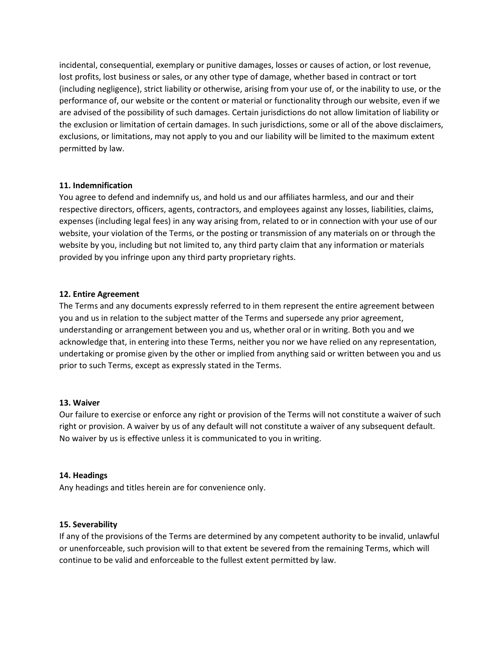incidental, consequential, exemplary or punitive damages, losses or causes of action, or lost revenue, lost profits, lost business or sales, or any other type of damage, whether based in contract or tort (including negligence), strict liability or otherwise, arising from your use of, or the inability to use, or the performance of, our website or the content or material or functionality through our website, even if we are advised of the possibility of such damages. Certain jurisdictions do not allow limitation of liability or the exclusion or limitation of certain damages. In such jurisdictions, some or all of the above disclaimers, exclusions, or limitations, may not apply to you and our liability will be limited to the maximum extent permitted by law.

# **11. Indemnification**

You agree to defend and indemnify us, and hold us and our affiliates harmless, and our and their respective directors, officers, agents, contractors, and employees against any losses, liabilities, claims, expenses (including legal fees) in any way arising from, related to or in connection with your use of our website, your violation of the Terms, or the posting or transmission of any materials on or through the website by you, including but not limited to, any third party claim that any information or materials provided by you infringe upon any third party proprietary rights.

# **12. Entire Agreement**

The Terms and any documents expressly referred to in them represent the entire agreement between you and us in relation to the subject matter of the Terms and supersede any prior agreement, understanding or arrangement between you and us, whether oral or in writing. Both you and we acknowledge that, in entering into these Terms, neither you nor we have relied on any representation, undertaking or promise given by the other or implied from anything said or written between you and us prior to such Terms, except as expressly stated in the Terms.

# **13. Waiver**

Our failure to exercise or enforce any right or provision of the Terms will not constitute a waiver of such right or provision. A waiver by us of any default will not constitute a waiver of any subsequent default. No waiver by us is effective unless it is communicated to you in writing.

# **14. Headings**

Any headings and titles herein are for convenience only.

### **15. Severability**

If any of the provisions of the Terms are determined by any competent authority to be invalid, unlawful or unenforceable, such provision will to that extent be severed from the remaining Terms, which will continue to be valid and enforceable to the fullest extent permitted by law.